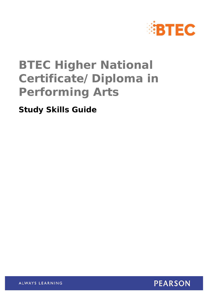

## **BTEC Higher National Certificate/Diploma in Performing Arts**

**Study Skills Guide** 



ALWAYS LEARNING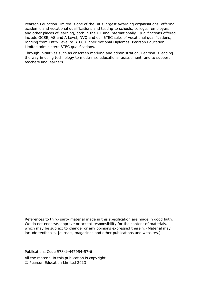Pearson Education Limited is one of the UK's largest awarding organisations, offering academic and vocational qualifications and testing to schools, colleges, employers and other places of learning, both in the UK and internationally. Qualifications offered include GCSE, AS and A Level, NVQ and our BTEC suite of vocational qualifications, ranging from Entry Level to BTEC Higher National Diplomas. Pearson Education Limited administers BTEC qualifications.

Through initiatives such as onscreen marking and administration, Pearson is leading the way in using technology to modernise educational assessment, and to support teachers and learners.

*References to third-party material made in this specification are made in good faith. We do not endorse, approve or accept responsibility for the content of materials, which may be subject to change, or any opinions expressed therein. (Material may include textbooks, journals, magazines and other publications and websites.)* 

Publications Code 978-1-447954-57-6 All the material in this publication is copyright © Pearson Education Limited 2013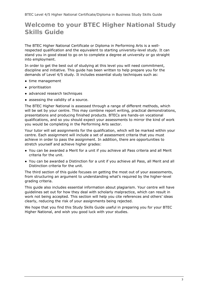## **Welcome to your BTEC Higher National Study Skills Guide**

The BTEC Higher National Certificate or Diploma in Performing Arts is a wellrespected qualification and the equivalent to starting university-level study. It can stand you in good stead to go on to complete a degree at university or go straight into employment.

In order to get the best out of studying at this level you will need commitment, discipline and initiative. This guide has been written to help prepare you for the demands of Level 4/5 study. It includes essential study techniques such as:

- time management
- prioritisation
- advanced research techniques
- assessing the validity of a source.

The BTEC Higher National is assessed through a range of different methods, which will be set by your centre. This may combine report writing, practical demonstrations, presentations and producing finished products. BTECs are hands-on vocational qualifications, and so you should expect your assessments to mirror the kind of work you would be completing in the Performing Arts sector.

Your tutor will set assignments for the qualification, which will be marked within your centre. Each assignment will include a set of assessment criteria that you must achieve in order to pass the assignment. In addition, there are opportunities to stretch yourself and achieve higher grades:

- You can be awarded a Merit for a unit if you achieve all Pass criteria and all Merit criteria for the unit.
- You can be awarded a Distinction for a unit if you achieve all Pass, all Merit and all Distinction criteria for the unit.

The third section of this guide focuses on getting the most out of your assessments, from structuring an argument to understanding what's required by the higher-level grading criteria.

This guide also includes essential information about plagiarism. Your centre will have guidelines set out for how they deal with scholarly malpractice, which can result in work not being accepted. This section will help you cite references and others' ideas clearly, reducing the risk of your assignments being rejected.

We hope that you find this Study Skills Guide useful in preparing you for your BTEC Higher National, and wish you good luck with your studies.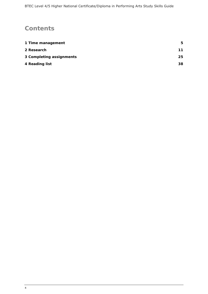## **Contents**

| 1 Time management        | 5. |
|--------------------------|----|
| 2 Research               | 11 |
| 3 Completing assignments | 25 |
| 4 Reading list           | 38 |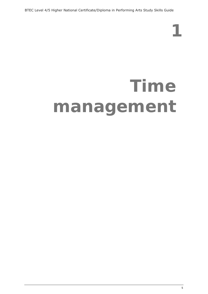BTEC Level 4/5 Higher National Certificate/Diploma in Performing Arts Study Skills Guide

## **Time management**

**1**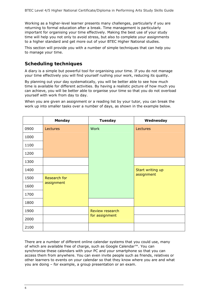Working as a higher-level learner presents many challenges, particularly if you are returning to formal education after a break. Time management is particularly important for organising your time effectively. Making the best use of your study time will help you not only to avoid stress, but also to complete your assignments to a higher standard and get more out of your BTEC Higher National studies.

This section will provide you with a number of simple techniques that can help you to manage your time.

#### **Scheduling techniques**

A diary is a simple but powerful tool for organising your time. If you do not manage your time effectively you will find yourself rushing your work, reducing its quality.

By planning out your day systematically, you will be better able to see how much time is available for different activities. By having a realistic picture of how much you can achieve, you will be better able to organise your time so that you do not overload yourself with work from day to day.

When you are given an assignment or a reading list by your tutor, you can break the work up into smaller tasks over a number of days, as shown in the example below.

|      | Monday                     | <b>Tuesday</b>  | Wednesday        |
|------|----------------------------|-----------------|------------------|
| 0900 | Lectures                   | Work            | Lectures         |
| 1000 |                            |                 |                  |
| 1100 |                            |                 |                  |
| 1200 |                            |                 |                  |
| 1300 |                            |                 |                  |
| 1400 |                            |                 | Start writing up |
| 1500 | Research for<br>assignment |                 | assignment       |
| 1600 |                            |                 |                  |
| 1700 |                            |                 |                  |
| 1800 |                            |                 |                  |
| 1900 |                            | Review research |                  |
| 2000 |                            | for assignment  |                  |
| 2100 |                            |                 |                  |

There are a number of different online calendar systems that you could use, many of which are available free of charge, such as Google Calendar™. You can synchronise these calendars with your PC and your smartphone so that you can access them from anywhere. You can even invite people such as friends, relatives or other learners to events on your calendar so that they know where you are and what you are doing – for example, a group presentation or an exam.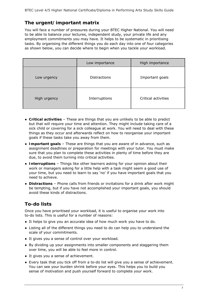#### **The urgent/important matrix**

You will face a number of pressures during your BTEC Higher National. You will need to be able to balance your lectures, independent study, your private life and any employment commitments you may have. It helps to be systematic in prioritising tasks. By organising the different things you do each day into one of four categories as shown below, you can decide where to begin when you tackle your workload.

|              | Low importance      | High importance     |
|--------------|---------------------|---------------------|
| Low urgency  | <b>Distractions</b> | Important goals     |
| High urgency | Interruptions       | Critical activities |

- **Critical activities** These are things that you are unlikely to be able to predict but that will require your time and attention. They might include taking care of a sick child or covering for a sick colleague at work. You will need to deal with these things as they occur and afterwards reflect on how to reorganise your important goals if these tasks take you away from them.
- **Important goals** These are things that you are aware of in advance, such as assignment deadlines or preparation for meetings with your tutor. You must make sure that you plan to complete these activities in plenty of time before they are due, to avoid them turning into critical activities.
- **Interruptions** Things like other learners asking for your opinion about their work or managers asking for a little help with a task might seem a good use of your time, but you need to learn to say 'no' if you have important goals that you need to achieve.
- **Distractions** Phone calls from friends or invitations for a drink after work might be tempting, but if you have not accomplished your important goals, you should avoid these kinds of distractions.

### **To-do lists**

Once you have prioritised your workload, it is useful to organise your work into to-do lists. This is useful for a number of reasons:

- It helps to give you an accurate idea of how much work you have to do.
- Listing all of the different things you need to do can help you to understand the scale of your commitments.
- It gives you a sense of control over your workload.
- By dividing up your assignments into smaller components and staggering them over time, you will be able to feel more in control.
- It gives you a sense of achievement.
- Every task that you tick off from a to-do list will give you a sense of achievement. You can see your burden shrink before your eyes. This helps you to build you sense of motivation and push yourself forward to complete your work.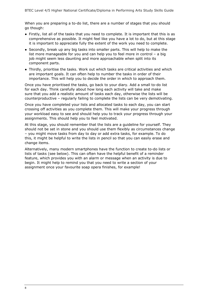When you are preparing a to-do list, there are a number of stages that you should go though:

- Firstly, list all of the tasks that you need to complete. It is important that this is as comprehensive as possible. It might feel like you have a lot to do, but at this stage it is important to appreciate fully the extent of the work you need to complete.
- Secondly, break up any big tasks into smaller parts. This will help to make the list more manageable for you and can help you to feel more in control – a big job might seem less daunting and more approachable when split into its component parts.
- Thirdly, prioritise the tasks. Work out which tasks are critical activities and which are important goals. It can often help to number the tasks in order of their importance. This will help you to decide the order in which to approach them.

Once you have prioritised the tasks, go back to your diary. Add a small to-do list for each day. Think carefully about how long each activity will take and make sure that you add a realistic amount of tasks each day, otherwise the lists will be counterproductive – regularly failing to complete the lists can be very demotivating.

Once you have completed your lists and allocated tasks to each day, you can start crossing off activities as you complete them. This will make your progress through your workload easy to see and should help you to track your progress through your assignments. This should help you to feel motivated.

At this stage, you should remember that the lists are a guideline for yourself. They should not be set in stone and you should use them flexibly as circumstances change – you might move tasks from day to day or add extra tasks, for example. To do this, it might be helpful to write the lists in pencil so that you can easily erase and change items.

Alternatively, many modern smartphones have the function to create to-do lists or lists of tasks (see below). This can often have the helpful benefit of a reminder feature, which provides you with an alarm or message when an activity is due to begin. It might help to remind you that you need to write a section of your assignment once your favourite soap opera finishes, for example!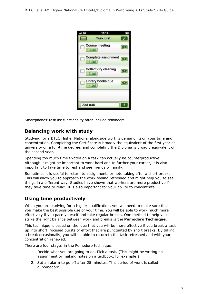

Smartphones' task list functionality often include reminders

#### **Balancing work with study**

Studying for a BTEC Higher National alongside work is demanding on your time and concentration. Completing the Certificate is broadly the equivalent of the first year at university on a full-time degree, and completing the Diploma is broadly equivalent of the second year.

Spending too much time fixated on a task can actually be counterproductive. Although it might be important to work hard and to further your career, it is also important to take time to rest and see friends or family.

Sometimes it is useful to return to assignments or note taking after a short break. This will allow you to approach the work feeling refreshed and might help you to see things in a different way. Studies have shown that workers are more productive if they take time to relax. It is also important for your ability to concentrate.

#### **Using time productively**

When you are studying for a higher qualification, you will need to make sure that you make the best possible use of your time. You will be able to work much more effectively if you pace yourself and take regular breaks. One method to help you strike the right balance between work and breaks is the **Pomodoro Technique.**

This technique is based on the idea that you will be more effective if you break a task up into short, focused bursts of effort that are punctuated by short breaks. By taking a break occasionally, you will be able to return to the task refreshed and with your concentration renewed.

There are four stages in the Pomodoro technique:

- 1. Decide what you are going to do. Pick a task. (This might be writing an assignment or making notes on a textbook, for example.)
- 2. Set an alarm to go off after 25 minutes. This period of work is called a 'pomodori'.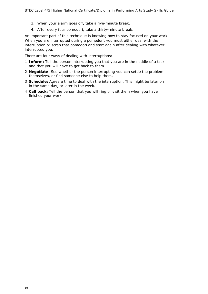- 3. When your alarm goes off, take a five-minute break.
- 4. After every four pomodori, take a thirty-minute break.

An important part of this technique is knowing how to stay focused on your work. When you are interrupted during a pomodori, you must either deal with the interruption or scrap that pomodori and start again after dealing with whatever interrupted you.

There are four ways of dealing with interruptions:

- 1 **Inform:** Tell the person interrupting you that you are in the middle of a task and that you will have to get back to them.
- 2 **Negotiate**: See whether the person interrupting you can settle the problem themselves, or find someone else to help them.
- 3 **Schedule:** Agree a time to deal with the interruption. This might be later on in the same day, or later in the week.
- 4 **Call back:** Tell the person that you will ring or visit them when you have finished your work.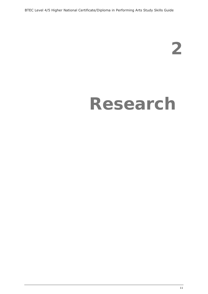BTEC Level 4/5 Higher National Certificate/Diploma in Performing Arts Study Skills Guide

**2** 

## **Research**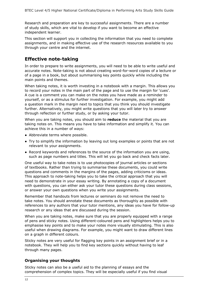Research and preparation are key to successful assignments. There are a number of study skills, which are vital to develop if you want to become an effective independent learner.

This section will support you in collecting the information that you need to complete assignments, and in making effective use of the research resources available to you through your centre and the internet.

#### **Effective note-taking**

In order to prepare to write assignments, you will need to be able to write useful and accurate notes. Note-taking is not about creating word-for-word copies of a lecture or of a page in a book, but about summarising key points quickly while including the main points and themes.

When taking notes, it is worth investing in a notebook with a margin. This allows you to record your notes in the main part of the page and to use the margin for 'cues'. A cue is a comment you can make on the notes you have made as a reminder to yourself, or as a stimulus for further investigation. For example, you might add a question mark in the margin next to topics that you think you should investigate further. Alternatively, you might write questions that you will later try to answer through reflection or further study, or by asking your tutor.

When you are taking notes, you should aim to **reduce** the material that you are taking notes on. This means you have to take information and simplify it. You can achieve this in a number of ways:

- Abbreviate terms where possible.
- Try to simplify the information by leaving out long examples or points that are not relevant to your assignments.
- Record keywords and references to the source of the information you are using, such as page numbers and titles. This will let you go back and check facts later.

One useful way to take notes is to use photocopies of journal articles or sections of textbooks. Rather than trying to summarise these documents, you could write questions and comments in the margins of the pages, adding criticisms or ideas. This approach to note-taking helps you to take the critical approach that you will need to demonstrate in your essay writing. By annotating a copy of a document with questions, you can either ask your tutor these questions during class sessions, or answer your own questions when you write your assignments.

Remember that handouts from lectures or seminars do not remove the need to take notes. You should annotate these documents as thoroughly as possible with references to any authors that your tutor mentions, any ideas you have for follow-up research or any ideas that are discussed during the session.

When you are taking notes, make sure that you are properly equipped with a range of pens and sticky notes. Using different-coloured pens and highlighters helps you to emphasise key points and to make your notes more visually stimulating. This is also useful when drawing diagrams. For example, you might want to draw different lines on a graph in different colours.

Sticky notes are very useful for flagging key points in an assignment brief or in a notebook. They will help you to find key sections quickly without having to leaf through many pages.

#### **Organising your thoughts**

Sticky notes can also be a useful aid to the planning of essays and the comprehension of complex topics. They will be especially useful if you find visual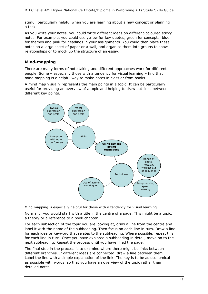stimuli particularly helpful when you are learning about a new concept or planning a task.

As you write your notes, you could write different ideas on different-coloured sticky notes. For example, you could use yellow for key quotes, green for concepts, blue for themes and pink for headings in your assignments. You could then place these notes on a large sheet of paper or a wall, and organise them into groups to show relationships or to mock up the structure of an essay.

#### **Mind-mapping**

There are many forms of note taking and different approaches work for different people. Some – especially those with a tendency for visual learning – find that mind mapping is a helpful way to make notes in class or from books.

A mind map visually represents the main points in a topic. It can be particularly useful for providing an overview of a topic and helping to draw out links between different key points.



Mind mapping is especially helpful for those with a tendency for visual learning

Normally, you would start with a title in the centre of a page. This might be a topic, a theory or a reference to a book chapter.

For each subsection of the topic you are looking at, draw a line from the centre and label it with the name of the subheading. Then focus on each line in turn. Draw a line for each idea or keyword that relates to the subheading. Where possible, repeat this for each line in turn. Once you have explored a subheading in detail, move on to the next subheading. Repeat the process until you have filled the page.

The final step in the process is to examine where there might be links between different branches. If different ideas are connected, draw a line between them. Label the line with a simple explanation of the link. The key is to be as economical as possible with words, so that you have an overview of the topic rather than detailed notes.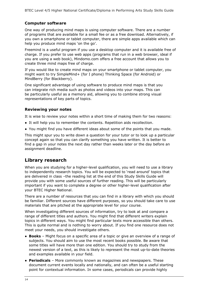#### **Computer software**

One way of producing mind maps is using computer software. There are a number of programs that are available for a small fee or as a free download. Alternatively, if you own a smartphone or tablet computer, there are simple apps available which can help you produce mind maps 'on the go'.

Freemind is a useful program if you use a desktop computer and it is available free of charge. If you prefer to use web apps (programs that run in a web browser, ideal if you are using a web book), Mindomo.com offers a free account that allows you to create three mind maps free of charge.

If you would like to create mind maps on your smartphone or tablet computer, you might want to try SimpleMind+ (for I phone) Thinking Space (for Android) or MindBerry (for Blackberry).

One significant advantage of using software to produce mind maps is that you can integrate rich media such as photos and videos into your maps. This can be particularly useful as a memory aid, allowing you to combine strong visual representations of key parts of topics.

#### **Reviewing your notes**

It is wise to review your notes within a short time of making them for two reasons:

- It will help you to remember the contents. Repetition aids recollection.
- You might find you have different ideas about some of the points that you made.

This might spur you to write down a question for your tutor or to look up a particular concept again so that you can clarify something you have written. It is better to find a gap in your notes the next day rather than weeks later or the day before an assignment deadline.

#### **Library research**

When you are studying for a higher-level qualification, you will need to use a library to independently research topics. You will be expected to 'read around' topics that are delivered in class –the reading list at the end of this Study Skills Guide will provide you with some useful sources of further reading. This will be particularly important if you want to complete a degree or other higher-level qualification after your BTEC Higher National.

There are a number of resources that you can find in a library with which you should be familiar. Different sources have different purposes, so you should take care to use materials that are pitched at the appropriate level for your course.

When investigating different sources of information, try to look at and compare a range of different titles and authors. You might find that different writers explain topics in different ways. You might find particular texts more accessible than others. This is quite normal and is nothing to worry about. If you find one resource does not meet your needs, you should investigate others.

- **Books** Might focus on a specific area of a topic or give an overview of a range of subjects. You should aim to use the most recent books possible. Be aware that some titles will have more than one edition. You should try to study from the newest version of a text, as this is likely to represent the most up-to-date theories and examples available in your field.
- **Periodicals** More commonly known as magazines and newspapers. These document current events locally and nationally, and can often be a useful starting point for contextual information. In some cases, periodicals can provide highly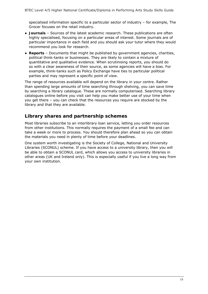specialised information specific to a particular sector of industry – for example, *The Grocer* focuses on the retail industry.

- **Journals** Sources of the latest academic research. These publications are often highly specialised, focusing on a particular areas of interest. Some journals are of particular importance in each field and you should ask your tutor where they would recommend you look for research.
- **Reports** Documents that might be published by government agencies, charities, political think-tanks or businesses. They are likely to contain a mixture of quantitative and qualitative evidence. When scrutinising reports, you should do so with a clear awareness of their source, as some agencies will have a bias. For example, think-tanks such as Policy Exchange have ties to particular political parties and may represent a specific point of view.

The range of resources available will depend on the library in your centre. Rather than spending large amounts of time searching through shelving, you can save time by searching a library catalogue. These are normally computerised. Searching library catalogues online before you visit can help you make better use of your time when you get there – you can check that the resources you require are stocked by the library and that they are available.

#### **Library shares and partnership schemes**

Most libraries subscribe to an interlibrary loan service, letting you order resources from other institutions. This normally requires the payment of a small fee and can take a week or more to process. You should therefore plan ahead so you can obtain the materials you need in plenty of time before your deadlines.

One system worth investigating is the Society of College, National and University Libraries (SCONUL) scheme. If you have access to a university library, then you will be able to obtain a SCONUL card, which allows you access to university libraries in other areas (UK and Ireland only). This is especially useful if you live a long way from your own institution.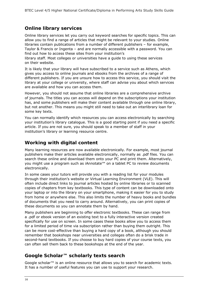#### **Online library services**

Online library services let you carry out keyword searches for specific topics. This can allow you to find a range of articles that might be relevant to your studies. Online libraries contain publications from a number of different publishers – for example, Taylor & Francis or Ingenta – and are normally accessible with a password. You can find out how to access these sites from your institution's

library staff. Most colleges or universities have a guide to using these services on their website.

It is likely that your library will have subscribed to a service such as Athens, which gives you access to online journals and ebooks from the archives of a range of different publishers. If you are unsure how to access this service, you should visit the library at your college or university, where staff can advise you about which services are available and how you can access them.

However, you should not assume that online libraries are a comprehensive archive of journals. The titles you can access will depend on the subscriptions your institution has, and some publishers will make their content available through one online library, but not another. This means you might still need to take out an interlibrary loan for some key texts.

You can normally identify which resources you can access electronically by searching your institution's library catalogue. This is a good starting point if you need a specific article. If you are not sure, you should speak to a member of staff in your institution's library or learning resource centre.

#### **Working with digital content**

Many learning resources are now available electronically. For example, most journal publishers make their articles available electronically, normally as .pdf files. You can search these online and download them onto your PC and print them. Alternatively, you might use a program such as iAnnotate™ on a tablet PC to review documents electronically.

In some cases your tutors will provide you with a reading list for your modules through their institution's website or Virtual Learning Environment (VLE). This will often include direct links to journal articles hosted by online libraries or to scanned copies of chapters from key textbooks. This type of content can be downloaded onto your laptop or into the library on your smartphone, making it easier for you to study from home or anywhere else. This also limits the number of heavy books and bundles of documents that you need to carry around. Alternatively, you can print copies of these documents so you can annotate them by hand.

Many publishers are beginning to offer electronic textbooks. These can range from a .pdf or ebook version of an existing text to a fully interactive version created specifically for use on screen. In some cases these books allow you to access them for a limited period of time via subscription rather than buying them outright. This can be more cost-effective than buying a hard copy of a book, although you should remember that bookshops near universities and colleges often do a brisk trade in second-hand textbooks. If you choose to buy hard copies of your course texts, you can often sell them back to these bookshops at the end of the year.

#### **Google Scholar™ scholarly texts search**

Google scholar™ is an online resource that allows you to search for academic texts. It has a number of useful features you can use to support your research.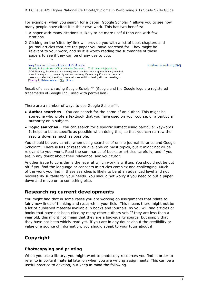For example, when you search for a paper, Google Scholar™ allows you to see how many people have cited it in their own work. This has two benefits:

- 1 A paper with many citations is likely to be more useful than one with few citations.
- 2 Clicking on the 'cited by' link will provide you with a list of book chapters and journal articles that cite the paper you have searched for. They might be relevant to your work, and so it is worth reading the summaries of these papers to see if they can be of any use to you.

[PDF] A review of the application of RFM model JT Wei, SY Lin, HH Wu - African Journal of Business ..., 2010 - academicjournals.org RFM (Recency, Frequency and Monetary) model has been widely applied in many practical areas in a long history, particularly in direct marketing. By adopting RFM model, decision makers can effectively identify valuable customers and then develop effective marketing ... Cited by 7 Related articles Cite More

Result of a search using Google Scholar™ (Google and the Google logo are registered trademarks of Google Inc., used with permission).

There are a number of ways to use Google Scholar™.

- **Author searches** You can search for the name of an author. This might be someone who wrote a textbook that you have used on your course, or a particular authority on a subject.
- **Topic searches** You can search for a specific subject using particular keywords. It helps to be as specific as possible when doing this, so that you can narrow the results down as much as possible.

You should be very careful when using searches of online journal libraries and Google Scholar™. There is lots of research available on most topics, but it might not all be relevant to your work. Read the summaries of books or articles carefully, and if you are in any doubt about their relevance, ask your tutor.

Another issue to consider is the level at which work is written. You should not be put off if you find the language or concepts in articles complex and challenging. Much of the work you find in these searches is likely to be at an advanced level and not necessarily suitable for your needs. You should not worry if you need to put a paper down and move on to something else.

#### **Researching current developments**

You might find that in some cases you are working on assignments that relate to fairly new lines of thinking and research in your field. This means there might not be a lot of published material available in books and journals, so you will find articles or books that have not been cited by many other authors yet. If they are less than a year old, this might not mean that they are a bad-quality source, but simply that they have not been widely read yet. If you are in any doubt about the credibility or value of a source of information, you should speak to your tutor about it.

#### **Copyright**

#### **Photocopying and printing**

When you use a library, you might want to photocopy resources you find in order to refer to important material later on when you are writing assignments. This can be a useful practice to develop, but keep in mind the following.

academicjournals.org [PDF]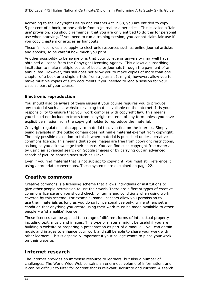According to the Copyright Design and Patents Act 1988, you are entitled to copy 5 per cent of a book, or one article from a journal or a periodical. This is called a 'fair use' provision. You should remember that you are only entitled to do this for personal use when studying. If you need to run a training session, you cannot claim fair use if you copy chapters or articles as handouts.

These fair use rules also apply to electronic resources such as online journal articles and ebooks, so be careful how much you print.

Another possibility to be aware of is that your college or university may well have obtained a licence from the Copyright Licensing Agency. This allows a subscribing institution to make multiple copies of books or journals through the payment of an annual fee. However, this still does not allow you to make copies of more than one chapter of a book or a single article from a journal. It might, however, allow you to make multiple copies of such documents if you needed to lead a session for your class as part of your course.

#### **Electronic reproduction**

You should also be aware of these issues if your course requires you to produce any material such as a website or a blog that is available on the internet. It is your responsibility to ensure that your work complies with copyright law. This means you should not include extracts from copyright material of any form unless you have explicit permission from the copyright holder to reproduce the material.

Copyright regulations also apply to material that you find on the internet. Simply being available in the public domain does not make material exempt from copyright. The only possible exception to this is when material is published under a creative commons licence. This means that some images are free from copyright restrictions, as long as you acknowledge their source. You can find such copyright-free material by using an advanced search on Google Images or by carrying out an advanced search of picture-sharing sites such as Flickr.

Even if you find material that is not subject to copyright, you must still reference it using appropriate conventions. These systems are explained on page 22.

#### **Creative commons**

Creative commons is a licensing scheme that allows individuals or institutions to give other people permission to use their work. There are different types of creative commons licence and you should check for terms and conditions when using work covered by this scheme. For example, some licensors allow you permission to use their materials as long as you do so for personal use only, while others set a condition that anything you create using their work must be made available to other people – a 'sharealike' licence.

These licences can be applied to a range of different forms of intellectual property including text, music and images. This type of material might be useful if you are building a website or preparing a presentation as part of a module – you can obtain music and images to enhance your work and still be able to share your work with other learners. This is especially important if your college wants to place your work on their website.

#### **Internet research**

The internet provides an immense resource to learners, but also a number of challenges. The World Wide Web contains an enormous volume of information, and it can be difficult to filter for content that is relevant, accurate and current. A search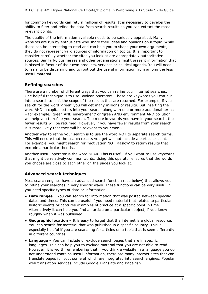for common keywords can return millions of results. It is necessary to develop the ability to filter and refine the data from search results so you can extract the most relevant points.

The quality of the information available needs to be seriously appraised. Many websites are run by enthusiasts who share their ideas and opinions on a topic. While these can be interesting to read and can help you to shape your own arguments, they do not represent valid sources of information on topics. It is important to consider carefully whether the sites you look at are appropriately authoritative sources. Similarly, businesses and other organisations might present information that is biased in favour of their own products, services or political agenda. You will need to learn to be discerning and to root out the useful information from among the less useful material.

#### **Refining searches**

There are a number of different ways that you can refine your internet searches. One helpful technique is to use Boolean operators. These are keywords you can put into a search to limit the scope of the results that are returned. For example, if you search for the word 'green' you will get many millions of results. But inserting the word AND in capital letters into your search along with one or more additional terms – for example, 'green AND environment' or 'green AND environment AND pollution' will help you to refine your search. The more keywords you have in your search, the fewer results will be returned. However, if you have fewer results from your search, it is more likely that they will be relevant to your work.

Another way to refine your search is to use the word NOT to separate search terms. This will ensure that the search results you get will not include a particular point. For example, you might search for 'motivation NOT Maslow' to return results that exclude a particular theorist.

Another useful operator is the word NEAR. This is useful if you want to use keywords that might be relatively common words. Using this operator ensures that the words you choose are close to each other on the pages you look at.

#### **Advanced search techniques**

Most search engines have an advanced search function (see below) that allows you to refine your searches in very specific ways. These functions can be very useful if you need specific types of data or information.

- **Date ranges** You can search for information that was posted between specific dates and times. This can be useful if you need material that relates to particular historic events or captures examples of practice at a specific point in time. Alternatively it can help you find an article on a particular subject, if you know roughly when it was published.
- **Geographic location** It is easy to forget that the internet is a global resource. You can search for material that was published in a specific country. This is especially helpful if you are searching for articles on a topic that is seen differently in different countries.
- **Language** You can include or exclude search pages that are in specific languages. This can help you to exclude material that you are not able to read. However, it is worth remembering that if you think a website in a language you do not understand contains useful information, there are many internet sites that can translate pages for you, some of which are integrated into search engines. Popular web translation services include Google Translate and Babelfish.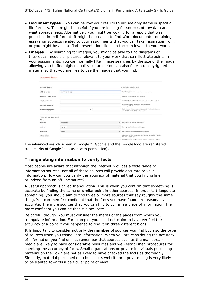- **Document types** You can narrow your results to include only items in specific file formats. This might be useful if you are looking for sources of raw data and want spreadsheets. Alternatively you might be looking for a report that was published in .pdf format. It might be possible to find Word documents containing essays on subjects related to your assignments that you can take inspiration from, or you might be able to find presentation slides on topics relevant to your work.
- **Images** By searching for images, you might be able to find diagrams of theoretical models or pictures relevant to your work that can illustrate points in your assignments. You can normally filter image searches by the size of the image, allowing you to find higher-quality pictures. You can also filter out copyrighted material so that you are free to use the images that you find.

| <b>Advanced Search</b>         |                   |                                                                                                      |
|--------------------------------|-------------------|------------------------------------------------------------------------------------------------------|
| Find pages with                |                   | To do this in the search box.                                                                        |
| all these words:               | harvard reference | Type the important words: tri-colour rat terrier                                                     |
| this exact word or phrase:     |                   | Put exact words in quotes: "rat_terriar"                                                             |
| any of these words:            |                   | Type OR between all the words you want ministure OR standard                                         |
| none of these words:           |                   | Put a minus sign just before words that you don't want.<br>"rodent, -"Jack Russell"                  |
| numbers ranging from:          | 10                | Put two full stops between the numbers and add a unit of measurement.<br>1015 kg, £300£500, 20102011 |
| Then narrow your results<br>by |                   |                                                                                                      |
| language.                      | any tanguage      | Find pages in the language that you select.<br>$\blacksquare$                                        |
| region:                        | any region        | Find pages published in a particular region.<br>$\mathbf{v}$                                         |
| last update:                   | anytime           | $\sim$<br>Find pages updated within the time that you specify                                        |
| site or domain:                |                   | Search one site (like wilkipedia.org) or limit your results to a domain<br>Mo .edu, .org or .gov     |
| W)                             |                   | Search for ferms in the whole page, page fille or web address, or links to                           |

The advanced search screen in Google™ (Google and the Google logo are registered trademarks of Google Inc., used with permission).

#### **Triangulating information to verify facts**

Most people are aware that although the internet provides a wide range of information sources, not all of these sources will provide accurate or valid information. How can you verify the accuracy of material that you find online, or indeed from an off-line source?

A useful approach is called triangulation. This is when you confirm that something is accurate by finding the same or similar point in other sources. In order to triangulate something, you should aim to find three or more sources that say roughly the same thing. You can then feel confident that the facts you have found are reasonably accurate. The more sources that you can find to confirm a piece of information, the more confident you can be that it is accurate.

Be careful though. You must consider the merits of the pages from which you triangulate information. For example, you could not claim to have verified the accuracy of a point if you happened to find it on three different blogs.

It is important to consider not only the **number** of sources you find but also the **type** of sources when you triangulate information. When you are considering the accuracy of information you find online, remember that sources such as the mainstream media are likely to have considerable resources and well-established procedures for checking the accuracy of facts. Small organisations or private individuals publishing material on their own are not as likely to have checked the facts as thoroughly. Similarly, material published on a business's website or a private blog is very likely to be slanted towards a particular point of view.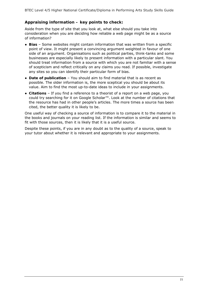#### **Appraising information – key points to check:**

Aside from the type of site that you look at, what else should you take into consideration when you are deciding how reliable a web page might be as a source of information?

- **Bias** Some websites might contain information that was written from a specific point of view. It might present a convincing argument weighted in favour of one side of an argument. Organisations such as political parties, think-tanks and some businesses are especially likely to present information with a particular slant. You should treat information from a source with which you are not familiar with a sense of scepticism and reflect critically on any claims you read. If possible, investigate any sites so you can identify their particular form of bias.
- **Date of publication** You should aim to find material that is as recent as possible. The older information is, the more sceptical you should be about its value. Aim to find the most up-to-date ideas to include in your assignments.
- **Citations** If you find a reference to a theorist of a report on a web page, you could try searching for it on Google Scholar™. Look at the number of citations that the resource has had in other people's articles. The more times a source has been cited, the better quality it is likely to be.

One useful way of checking a source of information is to compare it to the material in the books and journals on your reading list. If the information is similar and seems to fit with those sources, then it is likely that it is a useful source.

Despite these points, if you are in any doubt as to the quality of a source, speak to your tutor about whether it is relevant and appropriate to your assignments.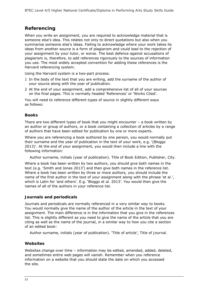#### **Referencing**

When you write an assignment, you are required to acknowledge material that is someone else's idea. This relates not only to direct quotations but also when you summarise someone else's ideas. Failing to acknowledge where your work takes its ideas from another source is a form of plagiarism and could lead to the rejection of your assignment by your tutor, or worse. The best defence against accusations of plagiarism is, therefore, to add references rigorously to the sources of information you use. The most widely accepted convention for adding these references is the Harvard referencing system.

Using the Harvard system is a two-part process.

- 1 In the body of the text that you are writing, add the surname of the author of your source along with the year of publication.
- 2 At the end of your assignment, add a comprehensive list of all of your sources on the final pages. This is normally headed 'References' or 'Works Cited'.

You will need to reference different types of source in slightly different ways as follows:

#### **Books**

There are two different types of book that you might encounter  $-$  a book written by an author or group of authors, or a book containing a collection of articles by a range of authors that have been edited for publication by one or more experts.

Where you are referencing a book authored by one person, you would normally put their surname and the year of publication in the text of your work, e.g. '(Bloggs 2013)'. At the end of your assignment, you would then include a line with the following information:

Author surname, initials (year of publication). *Title of Book Edition*, Publisher, City.

Where a book has been written by two authors, you should give both names in the text (e.g. 'Smith and Jones 2013') and then give both names in the reference list. Where a book has been written by three or more authors, you should include the name of the first author in the text of your assignment along with the phrase '*et al.*', which is Latin for 'and others'. E.g. 'Bloggs *et al.* 2013'. You would then give the names of all of the authors in your reference list.

#### **Journals and periodicals**

Journals and periodicals are normally referenced in a very similar way to books. You would normally give the name of the author of the article in the text of your assignment. The main difference is in the information that you give in the references list. This is slightly different as you need to give the name of the article that you are citing as well as the name of the journal, in a similar way to how you cite a section of an edited book:

Author surname, initials (year of publication). 'Title of article', *Title of Journal*.

#### **Websites**

Websites change over time – information may be edited, amended, added, deleted, and sometimes entire web pages will vanish. Remember when you reference information on a website that you should state the date on which you accessed the site.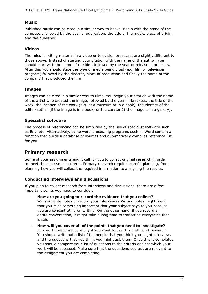BTEC Level 4/5 Higher National Certificate/Diploma in Performing Arts Study Skills Guide

#### **Music**

Published music can be cited in a similar way to books. Begin with the name of the composer, followed by the year of publication, the title of the music, place of origin and the publisher.

#### **Videos**

The rules for citing material in a video or television broadcast are slightly different to those above. Instead of starting your citation with the name of the author, you should start with the name of the film, followed by the year of release in brackets. After this you should state the type of media being cited (e.g. film or television program) followed by the director, place of production and finally the name of the company that produced the film.

#### **Images**

Images can be cited in a similar way to films. You begin your citation with the name of the artist who created the image, followed by the year in brackets, the title of the work, the location of the work (e.g. at a museum or in a book), the identity of the editor/author (if the image is in a book) or the curator (if the image is in a gallery).

#### **Specialist software**

The process of referencing can be simplified by the use of specialist software such as Endnote. Alternatively, some word-processing programs such as Word contain a function that builds a database of sources and automatically compiles reference list for you.

#### **Primary research**

Some of your assignments might call for you to collect original research in order to meet the assessment criteria. Primary research requires careful planning, from planning how you will collect the required information to analysing the results.

#### **Conducting interviews and discussions**

If you plan to collect research from interviews and discussions, there are a few important points you need to consider.

- **How are you going to record the evidence that you collect?** Will you write notes or record your interviews? Writing notes might mean that you miss something important that your subject says to you because you are concentrating on writing. On the other hand, if you record an entire conversation, it might take a long time to transcribe everything that is said.
- **How will you cover all of the points that you need to investigate?**  It is worth preparing carefully if you want to use this method of research. You should write out a list of the people that you think you might interview, and the questions that you think you might ask them. Once this is completed, you should compare your list of questions to the criteria against which your work will be assessed. Make sure that the questions you ask are relevant to the assignment you are completing.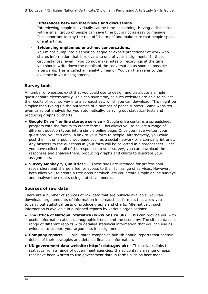- **Differences between interviews and discussions.** 

Interviewing people individually can be time-consuming. Having a discussion with a small group of people can save time but is not as easy to manage. It is important to play the role of 'chairman' and make sure that people speak one at a time.

- **Evidencing unplanned or ad-hoc conversations.** 

You might bump into a senior colleague or expert practitioner at work who shares information that is relevant to one of your assignments. In these circumstances, even if you do not make notes or recordings at the time, you should write down the details of the conversation as soon as possible afterwards. This is called an 'analytic memo'. You can then refer to this evidence in your assignment.

#### **Survey tools**

A number of websites exist that you could use to design and distribute a simple questionnaire electronically. This can save time, as such websites are able to collect the results of your survey into a spreadsheet, which you can download. This might be simpler than typing up the outcomes of a number of paper surveys. Some websites even carry out analysis for you automatically, carrying out statistical tests and producing graphs or charts.

- **Google Drive™ online storage service** Google drive contains a spreadsheet program with the facility to create forms. This allows you to collect a range of different question types into a simple online page. Once you have written your questions, you can email a link to your form to people. Alternatively, you could post the link on a public web page such as a social network or a company intranet. Any answers to the questions in your form will be collected in a spreadsheet. Once you have collected all of the responses to your survey, you can download the responses and analyse them, producing graphs and charts to illustrate your assignments.
- **Survey Monkey™/Qualitrics™** These sites are intended for professional researchers and charge a fee for access to their full range of services. However, both allow you to create a free account which lets you create simple online surveys and analyse the results using statistical models.

#### **Sources of raw data**

There are a number of sources of raw data that are publicly available. You can download large amounts of information in spreadsheet formats that allow you to carry out statistical tests or produce graphs and charts. Alternatively, such information is available in published reports by various organisations:

- **The Office of National Statistics (www.ons.co.uk)** This can provide you with useful information about demographic trends and the economy. The site contains a range of different reports with detailed statistical information that you can use as evidence to support your arguments in assignments.
- **Company reports** Public limited companies publish annual reports that contain details of their strategies and detailed financial information.
- **UK government data website (http://data.gov.uk)** This collates links to statistics from a range of government agencies. It also contains a range of apps that have been written to use government data in forms such as heat maps.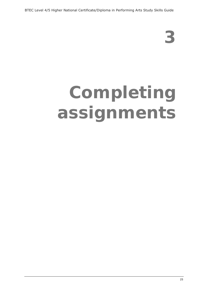# **Completing assignments**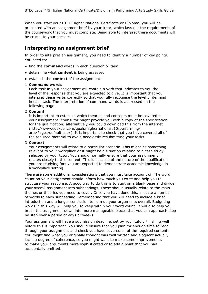When you start your BTEC Higher National Certificate or Diploma, you will be presented with an assignment brief by your tutor, which lays out the requirements of the coursework that you must complete. Being able to interpret these documents will be crucial to your success.

#### **Interpreting an assignment brief**

In order to interpret an assignment, you need to identify a number of key points. You need to:

- find the **command** words in each question or task
- determine what **content** is being assessed
- establish the **context** of the assignment.
- 1 **Command words**

Each task in your assignment will contain a verb that indicates to you the level of the response that you are expected to give. It is important that you interpret these verbs correctly so that you fully recognise the level of demand in each task. The interpretation of command words is addressed on the following page.

#### 2 **Content**

It is important to establish which theories and concepts must be covered in your assignment. Your tutor might provide you with a copy of the specification for the qualification; alternatively you could download this from the internet (http://www.edexcel.com/quals/highernationals10/performingarts/Pages/default.aspx). It is important to check that you have covered all of the required material to avoid needlessly resubmitting your tasks.

#### 3 **Context**

Your assignments will relate to a particular scenario. This might be something relevant to your workplace or it might be a situation relating to a case study selected by your tutor. You should normally ensure that your assignment relates closely to this context. This is because of the nature of the qualification you are studying for: you are expected to demonstrate academic knowledge in a workplace setting.

There are some additional considerations that you must take account of. The word count on your assignment should inform how much you write and help you to structure your response. A good way to do this is to start on a blank page and divide your overall assignment into subheadings. These should usually relate to the main themes or theories you need to cover. Once you have done this, allocate a number of words to each subheading, remembering that you will need to include a brief introduction and a longer conclusion to sum up your arguments overall. Budgeting words in this way will help you to keep within your word count. It will also help you break the assignment down into more manageable pieces that you can approach step by step over a period of days or weeks.

Your assignment will have a submission deadline, set by your tutor. Finishing well before this is important. You should ensure that you plan for enough time to read through your assignment and check you have covered all of the required content. You might find what you originally thought was well written and eloquent actually lacks a degree of coherence, so you might want to make some improvements to make your arguments more sophisticated or to add a point that you had accidentally omitted.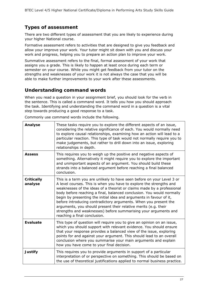### **Types of assessment**

There are two different types of assessment that you are likely to experience during your higher National course.

Formative assessment refers to activities that are designed to give you feedback and allow your improve your work. Your tutor might sit down with you and discuss your work and progress, helping you to prepare an action plan to improve your work.

Summative assessment refers to the final, formal assessment of your work that assigns you a grade. This is likely to happen at least once during each term or semester on your course. While you might get feedback from your tutor on the strengths and weaknesses of your work it is not always the case that you will be able to make further improvements to your work after these assessments.

#### **Understanding command words**

When you read a question in your assignment brief, you should look for the verb in the sentence. This is called a command word. It tells you how you should approach the task. Identifying and understanding the command word in a question is a vital step towards producing a good response to a task.

**Analyse** These tasks require you to explore the different aspects of an issue, considering the relative significance of each. You would normally need to explore causal relationships, examining how an action will lead to a particular reaction. This type of task would not normally require you to make judgements, but rather to drill down into an issue, exploring relationships in depth. **Assess** This requires you to weigh up the positive and negative aspects of something. Alternatively it might require you to explore the important and unimportant aspects of an argument. You should build these strands into a balanced argument before reaching a final balanced conclusion. **Critically analyse** This is a term you are unlikely to have seen before on your Level 3 or A level courses. This is when you have to explore the strengths and weaknesses of the ideas of a theorist or claims made by a professional body before reaching a final, balanced conclusion. You would normally begin by presenting the initial idea and arguments in favour of it, before introducing contradictory arguments. When you present the arguments, you should present their relative merits (e.g. their strengths and weaknesses) before summarising your arguments and reaching a final conclusion. **Evaluate** This type of question will require you to give an opinion on an issue, which you should support with relevant evidence. You should ensure that your response provides a balanced view of the issue, exploring points for and against your argument. This should lead to an overall conclusion where you summarise your main arguments and explain how you have come to your final decision. **Justify** This requires you to provide arguments in support of a particular interpretation of or perspective on something. This should be based on the use of theoretical justifications applied to normal business practice.

Commonly use command words include the following.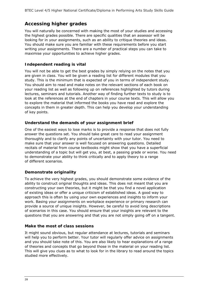#### **Accessing higher grades**

You will naturally be concerned with making the most of your studies and accessing the highest grades possible. There are specific qualities that an assessor will be looking for in your assignments, such as an ability to critique theories and ideas. You should make sure you are familiar with these requirements before you start writing your assignments. There are a number of practical steps you can take to maximise your opportunities to achieve higher grades.

#### **Independent reading is vital**

You will not be able to get the best grades by simply relying on the notes that you are given in class. You will be given a reading list for different modules that you study. This is the minimum that is expected of you in terms of independent study. You should aim to read and make notes on the relevant sections of each book on your reading list as well as following up on references highlighted by tutors during lectures, seminars and tutorials. Another way of finding further texts to study is to look at the references at the end of chapters in your course texts. This will allow you to explore the material that informed the books you have read and explore the concepts in them in greater depth. This can help you develop your understanding of key points.

#### **Understand the demands of your assignment brief**

One of the easiest ways to lose marks is to provide a response that does not fully answer the questions set. You should take great care to read your assignment thoroughly and to clarify any points of uncertainty with your tutor. You need to make sure that your answer is well focused on answering questions. Detailed recitals of material from course textbooks might show that you have a superficial understanding of a topic but will get you, at best, a passing grade or worse. You need to demonstrate your ability to think critically and to apply theory to a range of different scenarios.

#### **Demonstrate originality**

To achieve the very highest grades, you should demonstrate some evidence of the ability to construct original thoughts and ideas. This does not meant that you are constructing your own theories, but it might be that you find a novel application of existing ideas or offer a unique criticism of established ideas. A good way to approach this is often by using your own experiences and insights to inform your work. Basing your assignments on workplace experience or primary research can provide a source of unique insights. However, be careful to avoid long descriptions of scenarios in this case. You should ensure that your insights are relevant to the questions that you are answering and that you are not simply going off on a tangent.

#### **Make the most of class sessions**

It might sound obvious, but regular attendance at lectures, tutorials and seminars will help you to perform better. Your tutor will regularly offer advice on assignments and you should take note of this. You are also likely to hear explanations of a range of theories and concepts that go beyond those in the material on your reading list. This will give you clues as to what to look for in the library to read around the topics studied more effectively.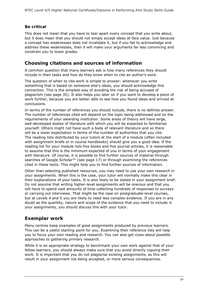#### **Be critical**

This does not mean that you have to tear apart every concept that you write about, but it does mean that you should not simply accept ideas at face value. Just because a concept has weaknesses does not invalidate it, but if you fail to acknowledge and address these weaknesses, then it will make your arguments far less convincing and constrain you to lower grades.

#### **Choosing citations and sources of information**

A common question that many learners ask is how many references they should include in their tasks and how do they know when to cite an author's work.

The question of when to cite work is simple to answer: whenever you write something that is based on someone else's ideas, you should acknowledge this connection. This is the simplest way of avoiding the risk of being accused of plagiarism (see page 35). It also helps you later on if you want to develop a piece of work further, because you are better able to see how you found ideas and arrived at conclusions.

In terms of the number of references you should include, there is no definite answer. The number of references cited will depend on the topic being addressed and on the requirements of your awarding institution. Some areas of theory will have large, well-developed bodies of literature with which you will be expected to familiarise yourself. Others might not have such a body of relevant literature and so there will be a lower expectation in terms of the number of authorities that you cite. The reading lists distributed by your tutors at the start of a module (often included with assignment briefs or in course handbooks) should give you a good idea. If the reading list for your module lists five books and five journal articles, it is reasonable to assume that this is the minimum expected of you in terms of your engagement with literature. Of course, it is possible to find further sources of material through searches of Google Scholar<sup>™</sup> (see page 17) or through examining the references cited in these texts. This might help you to find further sources of information.

Other than selecting published resources, you may need to use your own research in your assignments. When this is the case, your tutor will normally make this clear in their explanations of your tasks. It is also likely to be stated in your assignment brief. Do not assume that writing higher-level assignments will be onerous and that you will have to spend vast amounts of time collecting hundreds of responses to surveys or carrying out interviews. That might be the case on postgraduate-level courses, but at Levels 4 and 5 you are likely to need less complex evidence. If you are in any doubt as the quantity, nature and scope of the evidence that you need to include in your assignments, you should discuss this with your tutor.

#### **Exemplar work**

Many centres keep examples of good assignments produced by previous learners. This can be a useful starting point for you. Examining their reference lists will help you to focus your own reading and research. You can also get clues about possible approaches to gathering primary research.

While it is an appropriate strategy to benchmark your own work against that of your fellow learners, you should always make sure that you avoid directly copying their work. It is important that you do not plagiarise existing assignments, as this will result in your assignment not being accepted, or more serious consequences.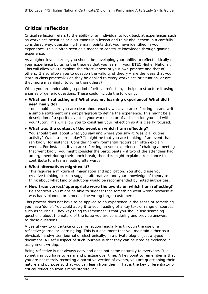#### **Critical reflection**

Critical reflection refers to the ability of an individual to look back at experiences such as workplace activities or discussions in a lesson and think about them in a carefully considered way, questioning the main points that you have identified in your experience. This is often seen as a means to construct knowledge through gaining experience.

As a higher-level learner, you should be developing your ability to reflect critically on your experience by using the theories that you learn in your BTEC Higher National. This will allow you to explore the effectiveness of your own practice and that of others. It also allows you to question the validity of theory – are the ideas that you learn in class practical? Can they be applied to every workplace or situation, or are they more meaningful to some than others?

When you are undertaking a period of critical reflection, it helps to structure it using a series of generic questions. These could include the following:

● **What am I reflecting on? What was my learning experience? What did I see/ hear/do?**

You should ensure you are clear about exactly what you are reflecting on and write a simple statement or short paragraph to define the experience. This might be a description of a specific event in your workplace or of a discussion you had with your tutor. This will allow you to constrain your reflection so it is clearly focused.

#### ● **What was the context of the event on which I am reflecting?**

You should think about what you saw and where you saw it. Was it a routine activity? Was it a normal day? It might be that you are thinking of an event that ran badly, for instance. Considering environmental factors can often explain events. For instance, if you are reflecting on your experience of chairing a meeting that went badly, you might consider the participants – if two of the attendees had an argument during their lunch break, then this might explain a reluctance to contribute to a team meeting afterwards.

#### ● **What alternatives might exist?**

This requires a mixture of imagination and application. You should use your creative thinking skills to suggest alternatives and your knowledge of theory to think about what kind of solutions would be recommended by noted authorities.

● **How true/correct/appropriate were the events on which I am reflecting?**  Be sceptical! You might be able to suggest that something went wrong because it was badly planned or aimed at the wrong target customers.

This process does not have to be applied to an experience in the sense of something you have 'done'. You could apply it to your reading of a key text or range of sources such as journals. They key thing to remember is that you should ask searching questions about the nature of the issue you are considering and provide answers to those questions.

A useful way to undertake critical reflection regularly is through the use of a reflective journal or learning log. This is a document that you maintain either as a physical, handwritten journal or electronically, in a private blog or just a typed document. A useful aspect of such journals is that they can be cited as evidence in assignment writing.

Being reflective is not always easy and does not come naturally to everyone. It is something you have to learn and practise over time. A key point to remember is that you are not merely recording a narrative version of events, you are questioning their nature and purpose so that you can learn from them. That is the key differentiator of critical reflection from simple storytelling.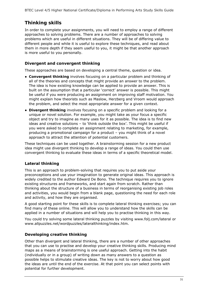### **Thinking skills**

In order to complete your assignments, you will need to employ a range of different approaches to solving problems. There are a number of approaches to solving problems which are useful in different situations. They will be of differing value to different people and while it is useful to explore these techniques, and read about them in more depth if they seem useful to you, it might be that another approach is more useful to you personally.

#### **Divergent and convergent thinking**

These approaches are based on developing a central theme, question or idea.

- **Convergent thinking** involves focusing on a particular problem and thinking of all of the theories and concepts that might provide an answer to the problem. The idea is how existing knowledge can be applied to provide an answer. This is built on the assumption that a particular 'correct' answer is possible. This might be useful if you were producing an assignment on improving staff motivation. You might explain how theorists such as Maslow, Herzberg and Vroom would approach the problem, and select the most appropriate answer for a given context.
- **Divergent thinking** involves focusing on a specific problem and looking for a unique or novel solution. For example, you might take as your focus a specific object and try to imagine as many uses for it as possible. The idea is to find new ideas and creative solutions – to 'think outside the box'. This might be useful if you were asked to complete an assignment relating to marketing, for example, producing a promotional campaign for a product – you might think of a novel approach to attract the attention of potential customers.

These techniques can be used together. A brainstorming session for a new product idea might use divergent thinking to develop a range of ideas. You could then use convergent thinking to evaluate these ideas in terms of a specific theoretical model.

#### **Lateral thinking**

This is an approach to problem-solving that requires you to put aside your preconceptions and use your imagination to generate original ideas. This approach is widely credited to the author Edward De Bono. The technique requires you to ignore existing structures and frameworks, and start again from scratch. Rather than thinking about the structure of a business in terms of reorganising existing job roles and activities, you would begin from a blank page, questioning the need for each role and activity, and how they are organised.

A good starting point for these skills is to complete lateral thinking exercises; you can find many of these online. This will allow you to understand how the skills can be applied in a number of situations and will help you to practise thinking in this way.

You could try solving some lateral thinking puzzles by visiting www.folj.com/lateral or www.allpuzzles.net/wordpuzzles/lateralthinking/index.htm.

#### **Developing creative thinking**

Other than divergent and lateral thinking, there are a number of other approaches that you can use to practise and develop your creative thinking skills. Producing mind maps as a means of brainstorming is one useful approach. Getting into the habit (individually or in a group) of writing down as many answers to a question as possible helps to stimulate creative ideas. The key is not to worry about how good the ideas are until the end of the exercise. At that point you can select points with potential for further development.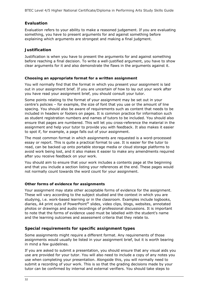#### **Evaluation**

Evaluation refers to your ability to make a reasoned judgement. If you are evaluating something, you have to present arguments for and against something before explaining which arguments are strongest and making a final judgment.

#### **Justification**

Justification is when you have to present the arguments for and against something before reaching a final decision. To write a well-justified argument, you have to show clear arguments for it and also demonstrate the flaws in the arguments against it.

#### **Choosing an appropriate format for a written assignment**

You will normally find that the format in which you present your assignment is laid out in your assignment brief. If you are uncertain of how to lay out your work after you have read your assignment brief, you should consult your tutor.

Some points relating to the format of your assignment may be set out in your centre's policies – for example, the size of font that you use or the amount of line spacing. You should also be aware of requirements such as content that needs to be included in headers or footers on pages. It is common practice for information such as student registration numbers and names of tutors to be included. You should also ensure that pages are numbered. This will let you cross-reference the material in the assignment and help your tutor to provide you with feedback. It also makes it easier to spot if, for example, a page falls out of your assignment.

The most common format in which assignments are requested is a word-processed essay or report. This is quite a practical format to use. It is easier for the tutor to read, can be backed up onto portable storage media or cloud storage platforms to avoid work being lost, and it also makes it easier to make any amendments required after you receive feedback on your work.

You should aim to ensure that your work includes a contents page at the beginning and that you include a section listing your references at the end. These pages would not normally count towards the word count for your assignment.

#### **Other forms of evidence for assignments**

Your assignment may state other acceptable forms of evidence for the assignment. These will vary according to the subject studied and the context in which you are studying, i.e. work-based learning or in the classroom. Examples include logbooks, diaries, A4 print outs of PowerPoint® slides, video clips, blogs, websites, annotated photos or drawings and audio recordings of professional discussions. It is important to note that the forms of evidence used must be labelled with the student's name and the learning outcomes and assessment criteria that they relate to.

#### **Special requirements for specific assignment types**

Some assignments might require a different format. Any requirements of those assignments would usually be listed in your assignment brief, but it is worth bearing in mind a few guidelines.

If you are asked to submit a presentation, you should ensure that any visual aids you use are provided for your tutor. You will also need to include a copy of any notes you use when completing your presentation. Alongside this, you will normally need to submit a recording of your work. This is so that the grading decisions made by your tutor can be confirmed by internal and external verifiers. You should take steps to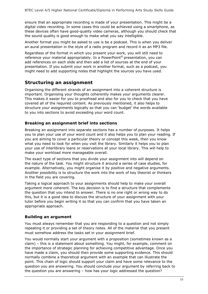ensure that an appropriate recording is made of your presentation. This might be a digital video recording. In some cases this could be achieved using a smartphone, as these devices often have good-quality video cameras, although you should check that the sound quality is good enough to make what you say intelligible.

Another format you might be asked to use is be a podcast. This is when you deliver an aural presentation in the style of a radio program and record it as an MP3 file.

Regardless of the format in which you present your work, you will still need to reference your material appropriately. In a PowerPoint® presentation, you can add references on each slide and then add a list of sources at the end of your presentation. If you submit your work in another format, such as a podcast, you might need to add supporting notes that highlight the sources you have used.

#### **Structuring an assignment**

Organising the different strands of an assignment into a coherent structure is important. Organising your thoughts coherently makes your arguments clearer. This makes it easier for you to proofread and also for you to check that you have covered all of the required content. As previously mentioned, it also helps to structure your assignments logically so that you can 'budget' the words available to you into sections to avoid exceeding your word count.

#### **Breaking an assignment brief into sections**

Breaking an assignment into separate sections has a number of purposes. It helps you to plan your use of your word count and it also helps you to plan your reading. If you are aiming to cover a particular theory or concept this week, then you know what you need to look for when you visit the library. Similarly it helps you to plan your use of interlibrary loans or reservations at your local library. This will help to make your workload more manageable overall.

The exact type of sections that you divide your assignment into will depend on the nature of the task. You might structure it around a series of case studies, for example. Alternatively, you might organise it by positive and negative arguments. Another possibility is to structure the work into the work of key theorist or thinkers in the field you are covering.

Taking a logical approach to your assignments should help to make your overall argument more coherent. The key decision is to find a structure that complements the question that you intend to answer. There is no one right or wrong way to do this, but it is a good idea to discuss the structure of your assignment with your tutor before you begin writing it so that you can confirm that you have taken an appropriate approach.

#### **Building an argument**

You must always remember that you are responding to a question and not simply repeating it or providing a set of theory notes. All of the material that you present must somehow address the tasks set in your assignment brief.

You would normally start your argument with a proposition (sometimes known as a claim) – this is a statement about something. You might, for example, comment on the importance of strategic planning for achieving competitive advantage. Once you have made a claim, you should then provide some supporting evidence. This should normally combine a theoretical argument with an example that can illustrate the point. This chain of logic should support your claim and have some relevance to the question you are answering. You should conclude your argument by referring back to the question you are answering – how has your logic addressed the question?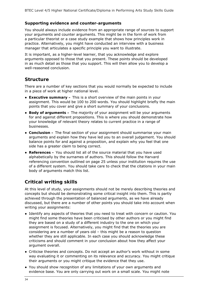#### **Supporting evidence and counter-arguments**

You should always include evidence from an appropriate range of sources to support your arguments and counter arguments. This might be in the form of work from a particular theorist or a case study example that shows how principles work in practice. Alternatively, you might have conducted an interview with a business manager that articulates a specific principle you want to illustrate.

It is important, as a higher-level learner, that you acknowledge and explore arguments opposed to those that you present. These points should be developed in as much detail as those that you support. This will then allow you to develop a well-reasoned conclusion.

#### **Structure**

There are a number of key sections that you would normally be expected to include in a piece of work at higher national level.

- **Executive summary** This is a short overview of the main points in your assignment. This would be 100 to 200 words. You should highlight briefly the main points that you cover and give a short summary of your conclusions.
- **Body of arguments** The majority of your assignment will be your arguments for and against different propositions. This is where you should demonstrate how your knowledge of relevant theory relates to current practice in a range of businesses.
- **Conclusion** The final section of your assignment should summarise your main arguments and explain how they have led you to an overall judgement. You should balance points for and against a proposition, and explain why you feel that one side has a greater claim to being correct.
- **References** You should list all of the source material that you have used alphabetically by the surnames of authors. This should follow the Harvard referencing convention outlined on page 25 unless your institution requires the use of a different system. You should take care to check that the citations in your main body of arguments match this list.

#### **Critical writing skills**

At this level of study, your assignments should not be merely describing theories and concepts but should be demonstrating some critical insight into them. This is partly achieved through the presentation of balanced arguments, as we have already discussed, but there are a number of other points you should take into account when writing your assignments:

- Identify any aspects of theories that you need to treat with concern or caution. You might find some theories have been criticised by other authors or you might find they are based on a study of a different industry to the one on which your assignment is focused. Alternatively, you might find that the theories you are considering are a number of years old – this might be a reason to question whether they are still applicable. In each case you should acknowledge these criticisms and should comment in your conclusion about how they affect your argument overall.
- Criticise theories and concepts. Do not accept an author's work without in some way evaluating it or commenting on its relevance and accuracy. You might critique their arguments or you might critique the evidence that they use.
- You should show recognition of any limitations of your own arguments and evidence base. You are only carrying out work on a small scale. You might note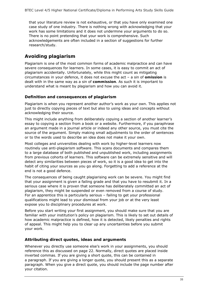that your literature review is not exhaustive, or that you have only examined one case study of one industry. There is nothing wrong with acknowledging that your work has some limitations and it does not undermine your arguments to do so. There is no point pretending that your work is comprehensive. Such acknowledgements are often included in a section of suggestions for further research/study.

#### **Avoiding plagiarism**

Plagiarism is one of the most common forms of academic malpractice and can have severe consequences for learners. In some cases, it is easy to commit an act of plagiarism accidentally. Unfortunately, while this might count as mitigating circumstances in your defence, it does not excuse the act – a sin of **omission** is dealt with in the same way as a sin of **commission**. As such it is important to understand what is meant by plagiarism and how you can avoid it.

#### **Definition and consequences of plagiarism**

Plagiarism is when you represent another author's work as your own. This applies not just to directly copying pieces of text but also to using ideas and concepts without acknowledging their source.

This might include anything from deliberately copying a section of another learner's essay to copying a section from a book or a website. Furthermore, if you paraphrase an argument made in a journal article or indeed any other source, you must cite the source of the argument. Simply making small adjustments to the order of sentences or to the words used to describe an idea does not make it your own.

Most colleges and universities dealing with work by higher-level learners now routinely use anti-plagiarism software. This scans documents and compares them to a large database of both published and unpublished work, including assignments from previous cohorts of learners. This software can be extremely sensitive and will detect any similarities between pieces of work, so it is a good idea to get into the habit of citing your sources as you go along. Forgetting to add a reference at the end is not a good defence.

The consequences of being caught plagiarising work can be severe. You might find that your assignment is given a failing grade and that you have to resubmit it. In a serious case where it is proven that someone has deliberately committed an act of plagiarism, they might be suspended or even removed from a course of study. For an apprentice this is particularly serious – failing to get your professional qualifications might lead to your dismissal from your job or at the very least expose you to disciplinary procedures at work.

Before you start writing your first assignment, you should make sure that you are familiar with your institution's policy on plagiarism. This is likely to set out details of how academic malpractice is defined, how it is detected, likely penalties and rights of appeal. This might help you to clear up any uncertainties before you submit your work.

#### **Attributing direct quotes, ideas and arguments**

Whenever you directly use someone else's work in your assignments, you should reference this as discussed on page 22. Normally, direct quotes are placed inside inverted commas. If you are giving a short quote, this can be contained in a paragraph. If you are giving a longer quote, you should present this as a separate paragraph. When you give a direct quote, you should include the page number after your citation.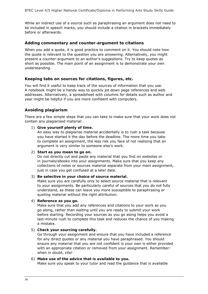While an indirect use of a source such as paraphrasing an argument does not need to be included in speech marks, you should include a citation in brackets immediately before or afterwards.

#### **Adding commentary and counter-argument to citations**

When you add a quote, it is good practice to comment on it. You should note how the quote is relevant to the question you are answering. Alternatively, you might present a counter-argument to an author's suggestions. Try to keep quotes as short as possible. The main point of an assignment is to demonstrate your own understanding.

#### **Keeping tabs on sources for citations, figures, etc.**

You will find it useful to keep track of the sources of information that you use. A notebook might be a handy way to quickly jot down page references and web addresses. Alternatively, a spreadsheet with columns for details such as author and year might be helpful if you are more confident with computers.

#### **Avoiding plagiarism**

There are a few simple steps that you can take to make sure that your work does not contain any plagiarised material:

#### 1) **Give yourself plenty of time.**

An easy way to plagiarise material accidentally is to rush a task because you have started it the day before the deadline. The more time you take to complete an assignment, the less risk you face of not realising that an argument is very similar to someone else's work.

#### 2) **Start as you mean to go on.**

Do not directly cut and paste any material that you find on websites or in journals/ebooks into your assignments. Make sure that you keep any collections of notes or sources material separate from your main assignment, just in case you get confused at a later date.

#### 3) **Be selective in your choice of source material.**

Make sure you are carefully only to select source material that is relevant to your assignments. Be particularly careful of sources that you do not fully understand, as these can leave you more susceptible to paraphrasing or quoting material without the right attribution.

#### 4) **Reference as you go.**

Make sure that you add any references and citations to your work as you go along, rather than waiting until you are ready to submit your work before starting. Recording your sources as you go along helps you avoid a last-minute rush to complete this task and reduces the chance of you making a mistake.

#### 5) **Check your sourcing carefully.**

Go through your assignment and ensure that you have included a reference for any direct quotes or any material you have paraphrased. You should ensure any material that you are not confident is your own is either provided with an appropriate citation or removed from your assignment. Remember: when in doubt, cite!

#### 6) **Make use of the advice that is available to you.**

Make sure you speak to your tutor and read the guidance that is available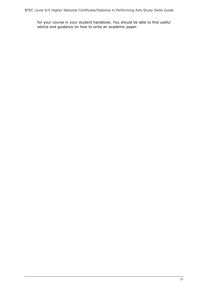for your course in your student handbook. You should be able to find useful advice and guidance on how to write an academic paper.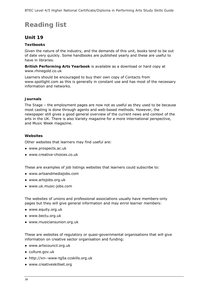## **Reading list**

#### **Unit 19**

#### **Textbooks**

Given the nature of the industry, and the demands of this unit, books tend to be out of date very quickly. Some handbooks are published yearly and these are useful to have in libraries.

**British Performing Arts Yearbook** is available as a download or hard copy at www.rhinegold.co.uk

Learners should be encouraged to buy their own copy of *Contacts* from www.spotlight.com as this is generally in constant use and has most of the necessary information and networks.

#### **Journals**

*The Stage* – the employment pages are now not as useful as they used to be because most casting is done through agents and web-based methods. However, the newspaper still gives a good general overview of the current news and context of the arts in the UK. There is also *Variety* magazine for a more international perspective, and *Music Week* magazine.

#### **Websites**

Other websites that learners may find useful are:

- www.prospects.ac.uk
- www.creative-choices.co.uk

These are examples of job listings websites that learners could subscribe to:

- www.artsandmediajobs.com
- www.artsjobs.org.uk
- www.uk.music-jobs.com

The websites of unions and professional associations usually have members-only pages but they will give general information and may enrol learner members:

- www.equity.org.uk
- www.bectu.org.uk
- www.musiciansunion.org.uk

These are websites of regulatory or quasi-governmental organisations that will give information on creative sector organisation and funding:

- www.artscouncil.org.uk
- culture.gov.uk
- http://xn--www-tg5a.ccskills.org.uk
- www.creativeskillset.org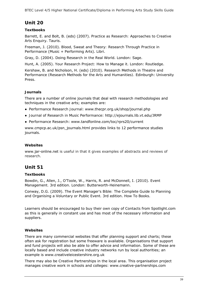#### **Unit 20**

#### **Textbooks**

Barrett, E. and Bolt, B. (eds) (2007). *Practice as Research: Approaches to Creative Arts Enquiry*. Tauris.

Freeman, J. (2010). *Blood, Sweat and Theory: Research Through Practice in Performance* (Music + Performing Arts). Libri.

Gray, D. (2004). *Doing Research in the Real World*. London: Sage.

Hunt, A. (2005). *Your Research Project: How to Manage it*. London: Routledge.

Kershaw, B. and Nicholson, H. (eds) (2010). *Research Methods in Theatre and Performance (Research Methods for the Arts and Humanities).* Edinburgh: University Press.

#### **Journals**

There are a number of online journals that deal with research methodologies and techniques in the creative arts; examples are:

- *Performance Research Journal*: www.thecpr.org.uk/shop/journal.php
- *Journal of Research in Music Performance*: http://ejournals.lib.vt.edu/JRMP
- *Performance Research*: www.tandfonline.com/toc/rprs20/current

www.cmpcp.ac.uk/psn\_journals.html provides links to 12 performance studies journals.

#### **Websites**

www.jar-online.net is useful in that it gives examples of abstracts and reviews of research.

#### **Unit 51**

#### **Textbooks**

Bowdin, G., Allen, J., O'Toole, W., Harris, R. and McDonnell, I. (2010). *Event Management.* 3rd edition. London: Butterworth-Heinemann.

Conway, D.G. (2009). *The Event Manager's Bible: The Complete Guide to Planning and Organising a Voluntary or Public Event*. 3rd edition. How To Books.

Learners should be encouraged to buy their own copy of *Contacts* from Spotlight.com as this is generally in constant use and has most of the necessary information and suppliers.

#### **Websites**

There are many commercial websites that offer planning support and charts; these often ask for registration but some freeware is available. Organisations that support and fund projects will also be able to offer advice and information. Some of these are locally based and include creative industry networks run by local authorities; an example is www.creativeleicestershire.org.uk

There may also be Creative Partnerships in the local area. This organisation project manages creative work in schools and colleges: www.creative-partnerships.com